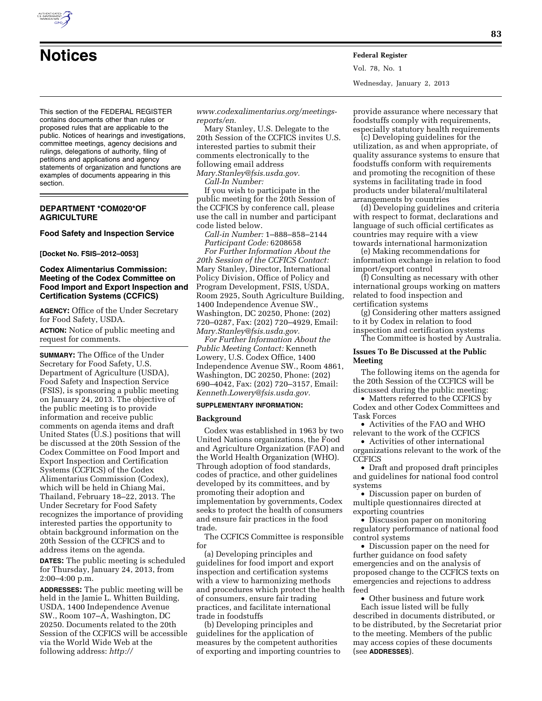

**Notices Federal Register** Vol. 78, No. 1 Wednesday, January 2, 2013

This section of the FEDERAL REGISTER contains documents other than rules or proposed rules that are applicable to the public. Notices of hearings and investigations, committee meetings, agency decisions and rulings, delegations of authority, filing of petitions and applications and agency statements of organization and functions are examples of documents appearing in this section.

# **DEPARTMENT \*COM020\*OF AGRICULTURE**

# **Food Safety and Inspection Service**

#### **[Docket No. FSIS–2012–0053]**

## **Codex Alimentarius Commission: Meeting of the Codex Committee on Food Import and Export Inspection and Certification Systems (CCFICS)**

**AGENCY:** Office of the Under Secretary for Food Safety, USDA.

**ACTION:** Notice of public meeting and request for comments.

**SUMMARY:** The Office of the Under Secretary for Food Safety, U.S. Department of Agriculture (USDA), Food Safety and Inspection Service (FSIS), is sponsoring a public meeting on January 24, 2013. The objective of the public meeting is to provide information and receive public comments on agenda items and draft United States (U.S.) positions that will be discussed at the 20th Session of the Codex Committee on Food Import and Export Inspection and Certification Systems (CCFICS) of the Codex Alimentarius Commission (Codex), which will be held in Chiang Mai, Thailand, February 18–22, 2013. The Under Secretary for Food Safety recognizes the importance of providing interested parties the opportunity to obtain background information on the 20th Session of the CCFICS and to address items on the agenda.

**DATES:** The public meeting is scheduled for Thursday, January 24, 2013, from 2:00–4:00 p.m.

**ADDRESSES:** The public meeting will be held in the Jamie L. Whitten Building, USDA, 1400 Independence Avenue SW., Room 107–A, Washington, DC 20250. Documents related to the 20th Session of the CCFICS will be accessible via the World Wide Web at the following address: *[http://](http://www.codexalimentarius.org/meetings-reports/en)* 

*[www.codexalimentarius.org/meetings](http://www.codexalimentarius.org/meetings-reports/en)[reports/en.](http://www.codexalimentarius.org/meetings-reports/en)* 

Mary Stanley, U.S. Delegate to the 20th Session of the CCFICS invites U.S. interested parties to submit their comments electronically to the following email address *[Mary.Stanley@fsis.usda.gov.](mailto:Mary.Stanley@fsis.usda.gov)* 

*Call-In Number:* 

If you wish to participate in the public meeting for the 20th Session of the CCFICS by conference call, please use the call in number and participant code listed below.

*Call-in Number:* 1–888–858–2144 *Participant Code:* 6208658

*For Further Information About the 20th Session of the CCFICS Contact:*  Mary Stanley, Director, International Policy Division, Office of Policy and Program Development, FSIS, USDA, Room 2925, South Agriculture Building, 1400 Independence Avenue SW., Washington, DC 20250, Phone: (202) 720–0287, Fax: (202) 720–4929, Email: *[Mary.Stanley@fsis.usda.gov.](mailto:Mary.Stanley@fsis.usda.gov)* 

*For Further Information About the Public Meeting Contact:* Kenneth Lowery, U.S. Codex Office, 1400 Independence Avenue SW., Room 4861, Washington, DC 20250, Phone: (202) 690–4042, Fax: (202) 720–3157, Email: *[Kenneth.Lowery@fsis.usda.gov.](mailto:Kenneth.Lowery@fsis.usda.gov)* 

### **SUPPLEMENTARY INFORMATION:**

### **Background**

Codex was established in 1963 by two United Nations organizations, the Food and Agriculture Organization (FAO) and the World Health Organization (WHO). Through adoption of food standards, codes of practice, and other guidelines developed by its committees, and by promoting their adoption and implementation by governments, Codex seeks to protect the health of consumers and ensure fair practices in the food trade.

The CCFICS Committee is responsible for

(a) Developing principles and guidelines for food import and export inspection and certification systems with a view to harmonizing methods and procedures which protect the health of consumers, ensure fair trading practices, and facilitate international trade in foodstuffs

(b) Developing principles and guidelines for the application of measures by the competent authorities of exporting and importing countries to

provide assurance where necessary that foodstuffs comply with requirements, especially statutory health requirements

(c) Developing guidelines for the utilization, as and when appropriate, of quality assurance systems to ensure that foodstuffs conform with requirements and promoting the recognition of these systems in facilitating trade in food products under bilateral/multilateral arrangements by countries

(d) Developing guidelines and criteria with respect to format, declarations and language of such official certificates as countries may require with a view towards international harmonization

(e) Making recommendations for information exchange in relation to food import/export control

(f) Consulting as necessary with other international groups working on matters related to food inspection and certification systems

(g) Considering other matters assigned to it by Codex in relation to food inspection and certification systems

The Committee is hosted by Australia.

## **Issues To Be Discussed at the Public Meeting**

The following items on the agenda for the 20th Session of the CCFICS will be discussed during the public meeting:

• Matters referred to the CCFICS by Codex and other Codex Committees and Task Forces

• Activities of the FAO and WHO relevant to the work of the CCFICS

• Activities of other international organizations relevant to the work of the CCFICS

• Draft and proposed draft principles and guidelines for national food control systems

• Discussion paper on burden of multiple questionnaires directed at exporting countries

• Discussion paper on monitoring regulatory performance of national food control systems

• Discussion paper on the need for further guidance on food safety emergencies and on the analysis of proposed change to the CCFICS texts on emergencies and rejections to address feed

• Other business and future work Each issue listed will be fully described in documents distributed, or to be distributed, by the Secretariat prior to the meeting. Members of the public may access copies of these documents (see **ADDRESSES**).